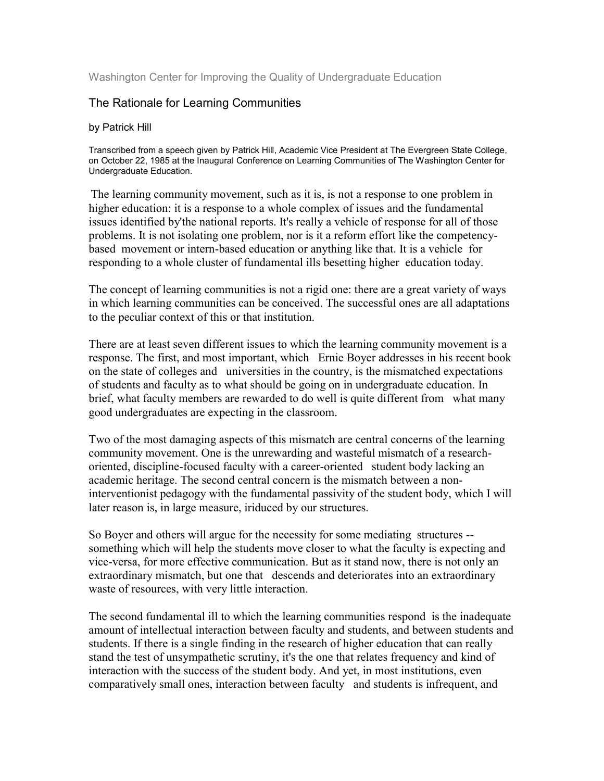Washington Center for Improving the Quality of Undergraduate Education

## The Rationale for Learning Communities

## by Patrick Hill

Transcribed from a speech given by Patrick Hill, Academic Vice President at The Evergreen State College, on October 22, 1985 at the Inaugural Conference on Learning Communities of The Washington Center for Undergraduate Education.

The learning community movement, such as it is, is not a response to one problem in higher education: it is a response to a whole complex of issues and the fundamental issues identified by'the national reports. It's really a vehicle of response for all of those problems. It is not isolating one problem, nor is it a reform effort like the competencybased movement or intern-based education or anything like that. It is a vehicle for responding to a whole cluster of fundamental ills besetting higher education today.

The concept of learning communities is not a rigid one: there are a great variety of ways in which learning communities can be conceived. The successful ones are all adaptations to the peculiar context of this or that institution.

There are at least seven different issues to which the learning community movement is a response. The first, and most important, which Ernie Boyer addresses in his recent book on the state of colleges and universities in the country, is the mismatched expectations of students and faculty as to what should be going on in undergraduate education. In brief, what faculty members are rewarded to do well is quite different from what many good undergraduates are expecting in the classroom.

Two of the most damaging aspects of this mismatch are central concerns of the learning community movement. One is the unrewarding and wasteful mismatch of a researchoriented, discipline-focused faculty with a career-oriented student body lacking an academic heritage. The second central concern is the mismatch between a noninterventionist pedagogy with the fundamental passivity of the student body, which I will later reason is, in large measure, iriduced by our structures.

So Boyer and others will argue for the necessity for some mediating structures - something which will help the students move closer to what the faculty is expecting and vice-versa, for more effective communication. But as it stand now, there is not only an extraordinary mismatch, but one that descends and deteriorates into an extraordinary waste of resources, with very little interaction.

The second fundamental ill to which the learning communities respond is the inadequate amount of intellectual interaction between faculty and students, and between students and students. If there is a single finding in the research of higher education that can really stand the test of unsympathetic scrutiny, it's the one that relates frequency and kind of interaction with the success of the student body. And yet, in most institutions, even comparatively small ones, interaction between faculty and students is infrequent, and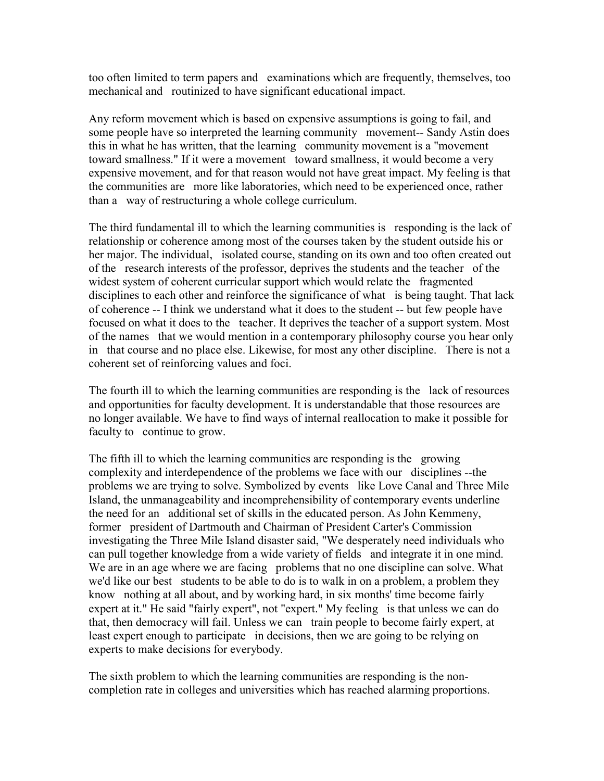too often limited to term papers and examinations which are frequently, themselves, too mechanical and routinized to have significant educational impact.

Any reform movement which is based on expensive assumptions is going to fail, and some people have so interpreted the learning community movement-- Sandy Astin does this in what he has written, that the learning community movement is a "movement toward smallness." If it were a movement toward smallness, it would become a very expensive movement, and for that reason would not have great impact. My feeling is that the communities are more like laboratories, which need to be experienced once, rather than a way of restructuring a whole college curriculum.

The third fundamental ill to which the learning communities is responding is the lack of relationship or coherence among most of the courses taken by the student outside his or her major. The individual, isolated course, standing on its own and too often created out of the research interests of the professor, deprives the students and the teacher of the widest system of coherent curricular support which would relate the fragmented disciplines to each other and reinforce the significance of what is being taught. That lack of coherence -- I think we understand what it does to the student -- but few people have focused on what it does to the teacher. It deprives the teacher of a support system. Most of the names that we would mention in a contemporary philosophy course you hear only in that course and no place else. Likewise, for most any other discipline. There is not a coherent set of reinforcing values and foci.

The fourth ill to which the learning communities are responding is the lack of resources and opportunities for faculty development. It is understandable that those resources are no longer available. We have to find ways of internal reallocation to make it possible for faculty to continue to grow.

The fifth ill to which the learning communities are responding is the growing complexity and interdependence of the problems we face with our disciplines --the problems we are trying to solve. Symbolized by events like Love Canal and Three Mile Island, the unmanageability and incomprehensibility of contemporary events underline the need for an additional set of skills in the educated person. As John Kemmeny, former president of Dartmouth and Chairman of President Carter's Commission investigating the Three Mile Island disaster said, "We desperately need individuals who can pull together knowledge from a wide variety of fields and integrate it in one mind. We are in an age where we are facing problems that no one discipline can solve. What we'd like our best students to be able to do is to walk in on a problem, a problem they know nothing at all about, and by working hard, in six months' time become fairly expert at it." He said "fairly expert", not "expert." My feeling is that unless we can do that, then democracy will fail. Unless we can train people to become fairly expert, at least expert enough to participate in decisions, then we are going to be relying on experts to make decisions for everybody.

The sixth problem to which the learning communities are responding is the noncompletion rate in colleges and universities which has reached alarming proportions.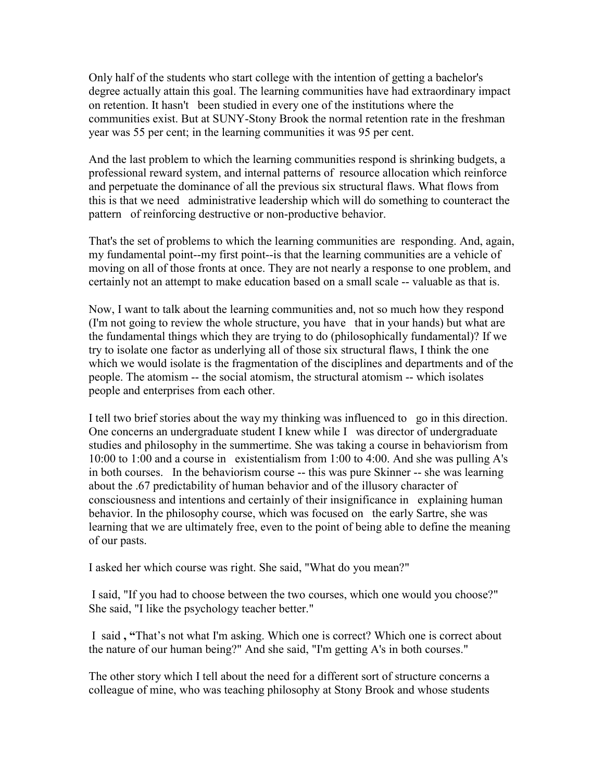Only half of the students who start college with the intention of getting a bachelor's degree actually attain this goal. The learning communities have had extraordinary impact on retention. It hasn't been studied in every one of the institutions where the communities exist. But at SUNY-Stony Brook the normal retention rate in the freshman year was 55 per cent; in the learning communities it was 95 per cent.

And the last problem to which the learning communities respond is shrinking budgets, a professional reward system, and internal patterns of resource allocation which reinforce and perpetuate the dominance of all the previous six structural flaws. What flows from this is that we need administrative leadership which will do something to counteract the pattern of reinforcing destructive or non-productive behavior.

That's the set of problems to which the learning communities are responding. And, again, my fundamental point--my first point--is that the learning communities are a vehicle of moving on all of those fronts at once. They are not nearly a response to one problem, and certainly not an attempt to make education based on a small scale -- valuable as that is.

Now, I want to talk about the learning communities and, not so much how they respond (I'm not going to review the whole structure, you have that in your hands) but what are the fundamental things which they are trying to do (philosophically fundamental)? If we try to isolate one factor as underlying all of those six structural flaws, I think the one which we would isolate is the fragmentation of the disciplines and departments and of the people. The atomism -- the social atomism, the structural atomism -- which isolates people and enterprises from each other.

I tell two brief stories about the way my thinking was influenced to go in this direction. One concerns an undergraduate student I knew while I was director of undergraduate studies and philosophy in the summertime. She was taking a course in behaviorism from 10:00 to 1:00 and a course in existentialism from 1:00 to 4:00. And she was pulling A's in both courses. In the behaviorism course -- this was pure Skinner -- she was learning about the .67 predictability of human behavior and of the illusory character of consciousness and intentions and certainly of their insignificance in explaining human behavior. In the philosophy course, which was focused on the early Sartre, she was learning that we are ultimately free, even to the point of being able to define the meaning of our pasts.

I asked her which course was right. She said, "What do you mean?"

 I said, "If you had to choose between the two courses, which one would you choose?" She said, "I like the psychology teacher better."

 I said **, "**That's not what I'm asking. Which one is correct? Which one is correct about the nature of our human being?" And she said, "I'm getting A's in both courses."

The other story which I tell about the need for a different sort of structure concerns a colleague of mine, who was teaching philosophy at Stony Brook and whose students